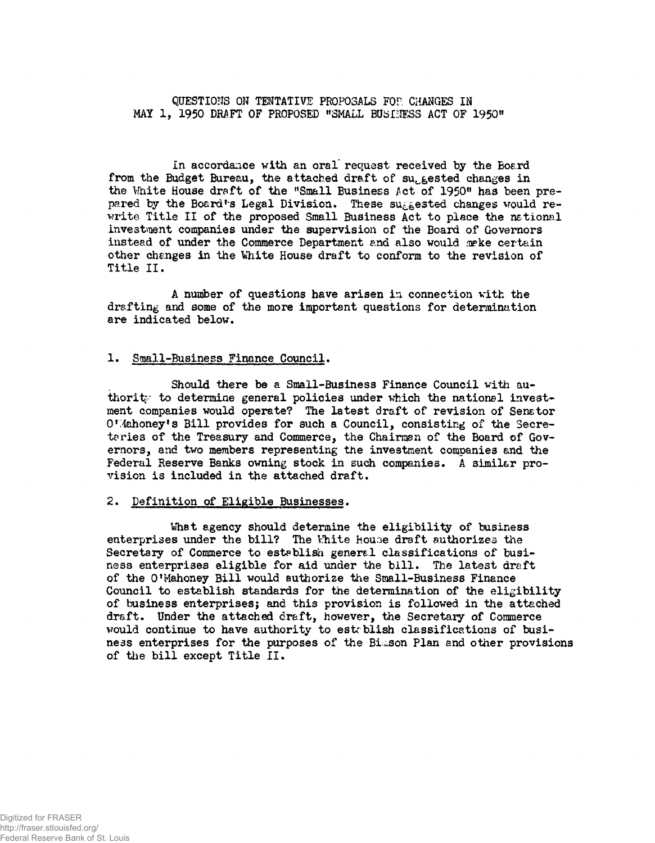QUESTIONS ON TENTATIVE PROPOSALS FOP. CHANGES IN MAY 1, 1950 DRAFT OF PROPOSED "SMALL BUSINESS ACT OF 1950"

in accordance with an oral request received by the Board from the Budget Bureau, the attached draft of suggested changes in the White House draft of the "Small Business Act of 1950" has been prepared by the Board's Legal Division. These suggested changes would rewrite Title II of the proposed Small Business Act to place the national investment companies under the supervision of the Board of Governors instead of under the Commerce Department and also would make certain other changes in the Vhite House draft to conform to the revision of Title II.

A number of questions have arisen in connection with the drafting and some of the more important questions for determination are indicated below.

### 1. Small-Business Finance Council.

Should there be a Small-Business Finance Council with authority to determine general policies under which the national investment companies would operate? The latest draft of revision of Senator O'Mahoney's Bill provides for such a Council, consisting of the Secretaries of the Treasury and Commerce, the Chairman of the Board of Governors, and two members representing the investment companies and the Federal Reserve Banks owning stock in such companies. A similar provision is included in the attached draft.

#### 2. Definition of Eligible Businesses.

What agency should determine the eligibility of business enterprises under the bill? The White house draft authorizes the Secretary of Commerce to establish general classifications of business enterprises eligible for aid under the bill. The latest draft of the 0!Mahoney Bill would authorize the Small-Business Finance Council to establish standards for the determination of the eligibility of business enterprises; and this provision is followed in the attached draft. Under the attached draft, however, the Secretary of Commerce would continue to have authority to estrblish classifications of business enterprises for the purposes of the Bimson Plan and other provisions of the bill except Title II.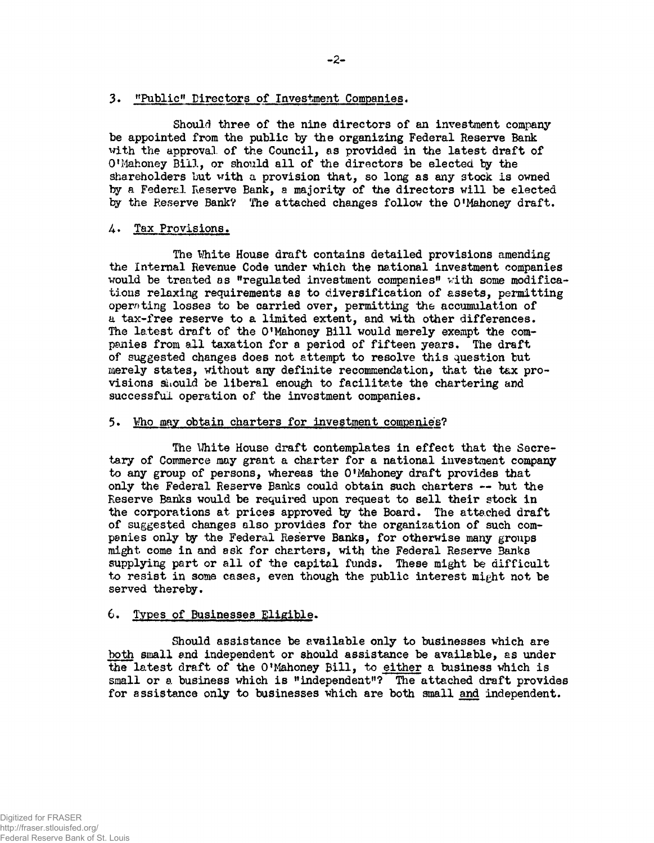### 3. "Public" Directors of Investment Companies.

Should three of the nine directors of an investment companybe appointed from the public by the organizing Federal Reserve Bank with the approval of the Council, as provided in the latest draft of 0 !Mahoney Bill, or should all of the directors be elected by the shareholders but vith a provision that, so long as any stock is owned by a Federal Reserve Bank, a majority of the directors will be elected by the Reserve Bank? The attached changes follow the O'Mahoney draft.

# 4. Tax Provisions.

The White House draft contains detailed provisions amending the Internal Revenue Code under which the national investment companies would be treated as "regulated investment companies" vith some modifications relaxing requirements as to diversification of assets, permitting operating losses to be carried over, permitting the accumulation of a tax-free reserve to a limited extent, and with other differences. The latest draft of the O'Mahoney Bill would merely exempt the companies from all taxation for a period of fifteen years. The draft of suggested changes does not attempt to resolve this question but merely states, without any definite recommendation, that the tax provisions should be liberal enough to facilitate the chartering and successful operation of the investment companies.

### 5• Who may obtain charters for investment companies?

The Uhite House draft contemplates in effect that the Secretary of Commerce may grant a charter for a national investment company to any group of persons, whereas the O<sup>f</sup>Mahoney draft provides that only the Federal Reserve Banks could obtain such charters — but the Reserve Banks would be required upon request to sell their stock in the corporations at prices approved by the Board. The attached draft of suggested changes also provides for the organization of such companies only by the Federal Reserve Banks, for otherwise many groups might come in and ask for charters, with the Federal Reserve Banks supplying part or all of the capital funds. These might be difficult to resist in some cases, even though the public interest might not be served thereby.

# 6. Types of Businesses Eligible.

Should assistance be available only to businesses which are both small and independent or should assistance be available, as under the latest draft of the O'Mahoney Bill, to either a business which is small or a business which is "independent"? The attached draft provides for assistance only to businesses which are both small and independent.